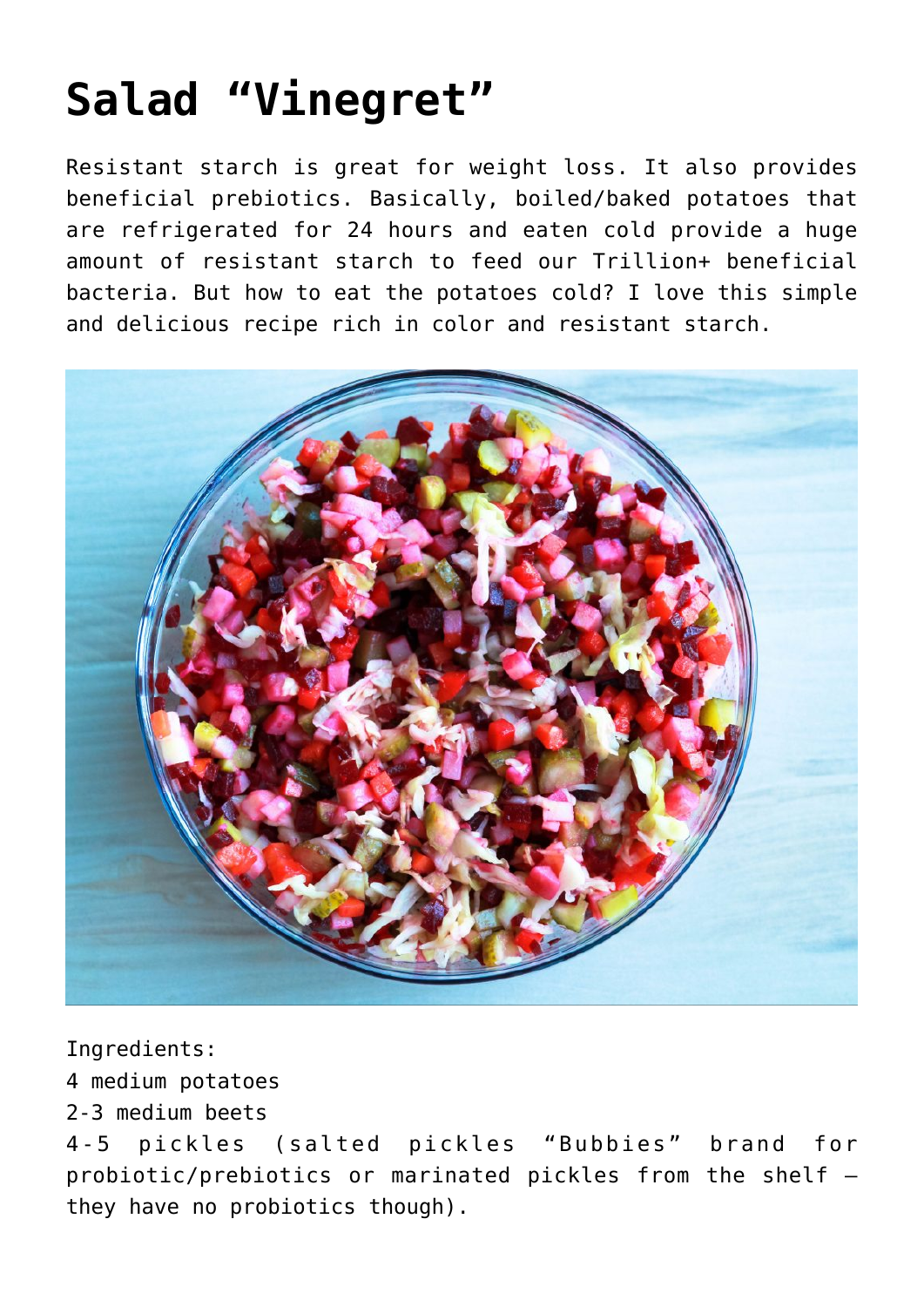## **[Salad "Vinegret"](https://sproutshealth.com/salad-vinegret/)**

Resistant starch is great for weight loss. It also provides beneficial prebiotics. Basically, boiled/baked potatoes that are refrigerated for 24 hours and eaten cold provide a huge amount of resistant starch to feed our Trillion+ beneficial bacteria. But how to eat the potatoes cold? I love this simple and delicious recipe rich in color and resistant starch.



## Ingredients:

4 medium potatoes

2-3 medium beets

4-5 pickles (salted pickles "Bubbies" brand for probiotic/prebiotics or marinated pickles from the shelf – they have no probiotics though).